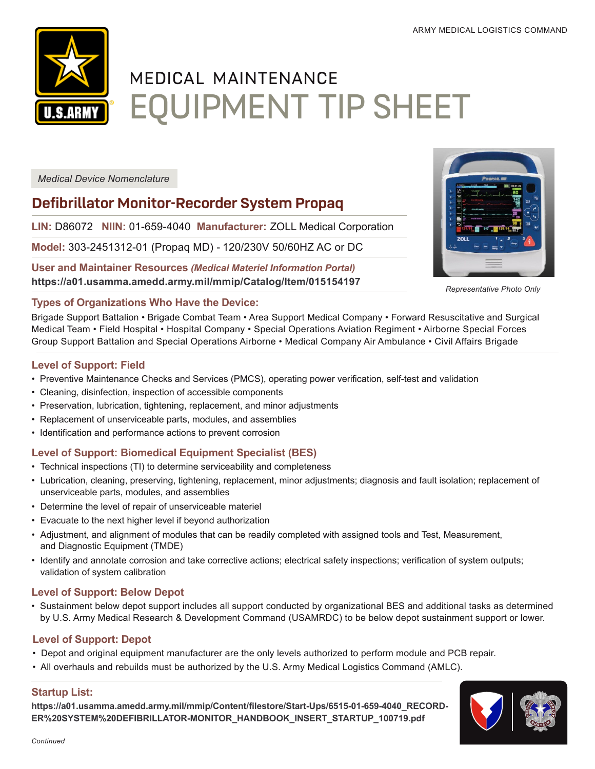

# MEDICAL MAINTENANCE EQUIPMENT TIP SHEET

*Medical Device Nomenclature*

# **Defibrillator Monitor-Recorder System Propaq**

**LIN:** D86072 **NIIN:** 01-659-4040 **Manufacturer:** ZOLL Medical Corporation

**Model:** 303-2451312-01 (Propaq MD) - 120/230V 50/60HZ AC or DC

**User and Maintainer Resources** *(Medical Materiel Information Portal)* **<https://a01.usamma.amedd.army.mil/mmip/Catalog/Item/015154197>**



*Representative Photo Only*

#### **Types of Organizations Who Have the Device:**

Brigade Support Battalion • Brigade Combat Team • Area Support Medical Company • Forward Resuscitative and Surgical Medical Team • Field Hospital • Hospital Company • Special Operations Aviation Regiment • Airborne Special Forces Group Support Battalion and Special Operations Airborne • Medical Company Air Ambulance • Civil Affairs Brigade

#### **Level of Support: Field**

- Preventive Maintenance Checks and Services (PMCS), operating power verification, self-test and validation
- Cleaning, disinfection, inspection of accessible components
- Preservation, lubrication, tightening, replacement, and minor adjustments
- Replacement of unserviceable parts, modules, and assemblies
- Identification and performance actions to prevent corrosion

# **Level of Support: Biomedical Equipment Specialist (BES)**

- Technical inspections (TI) to determine serviceability and completeness
- Lubrication, cleaning, preserving, tightening, replacement, minor adjustments; diagnosis and fault isolation; replacement of unserviceable parts, modules, and assemblies
- Determine the level of repair of unserviceable materiel
- Evacuate to the next higher level if beyond authorization
- Adjustment, and alignment of modules that can be readily completed with assigned tools and Test, Measurement, and Diagnostic Equipment (TMDE)
- Identify and annotate corrosion and take corrective actions; electrical safety inspections; verification of system outputs; validation of system calibration

### **Level of Support: Below Depot**

• Sustainment below depot support includes all support conducted by organizational BES and additional tasks as determined by U.S. Army Medical Research & Development Command (USAMRDC) to be below depot sustainment support or lower.

### **Level of Support: Depot**

- Depot and original equipment manufacturer are the only levels authorized to perform module and PCB repair.
- All overhauls and rebuilds must be authorized by the U.S. Army Medical Logistics Command (AMLC).

### **Startup List:**

https://a01.usamma.amedd.army.mil/mmip/Content/filestore/Start-Ups/6515-01-659-4040 RECORD-**[ER%20SYSTEM%20DEFIBRILLATOR-MONITOR\\_HANDBOOK\\_INSERT\\_STARTUP\\_100719.pdf](https://a01.usamma.amedd.army.mil/mmip/Content/filestore/Start-Ups/6515-01-659-4040_RECORDER SYSTEM DEFIBRILLATOR-MONITOR_HANDBOOK_INSERT_STARTUP_100719.pdf)**